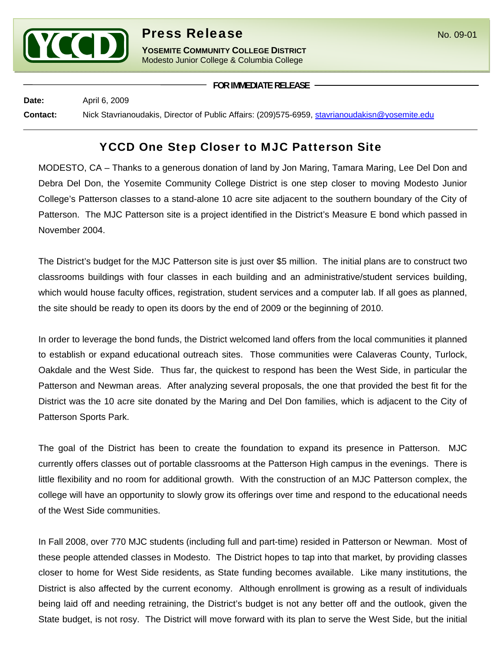

## **Press Release** No. 09-01

**YOSEMITE COMMUNITY COLLEGE DISTRICT** Modesto Junior College & Columbia College

**FOR IMMEDIATE RELEASE**

**Date:** April 6, 2009

**Contact:** Nick Stavrianoudakis, Director of Public Affairs: (209)575-6959, stavrianoudakisn@yosemite.edu

## YCCD One Step Closer to MJC Patterson Site

MODESTO, CA – Thanks to a generous donation of land by Jon Maring, Tamara Maring, Lee Del Don and Debra Del Don, the Yosemite Community College District is one step closer to moving Modesto Junior College's Patterson classes to a stand-alone 10 acre site adjacent to the southern boundary of the City of Patterson. The MJC Patterson site is a project identified in the District's Measure E bond which passed in November 2004.

The District's budget for the MJC Patterson site is just over \$5 million. The initial plans are to construct two classrooms buildings with four classes in each building and an administrative/student services building, which would house faculty offices, registration, student services and a computer lab. If all goes as planned, the site should be ready to open its doors by the end of 2009 or the beginning of 2010.

In order to leverage the bond funds, the District welcomed land offers from the local communities it planned to establish or expand educational outreach sites. Those communities were Calaveras County, Turlock, Oakdale and the West Side. Thus far, the quickest to respond has been the West Side, in particular the Patterson and Newman areas. After analyzing several proposals, the one that provided the best fit for the District was the 10 acre site donated by the Maring and Del Don families, which is adjacent to the City of Patterson Sports Park.

The goal of the District has been to create the foundation to expand its presence in Patterson. MJC currently offers classes out of portable classrooms at the Patterson High campus in the evenings. There is little flexibility and no room for additional growth. With the construction of an MJC Patterson complex, the college will have an opportunity to slowly grow its offerings over time and respond to the educational needs of the West Side communities.

In Fall 2008, over 770 MJC students (including full and part-time) resided in Patterson or Newman. Most of these people attended classes in Modesto. The District hopes to tap into that market, by providing classes closer to home for West Side residents, as State funding becomes available. Like many institutions, the District is also affected by the current economy. Although enrollment is growing as a result of individuals being laid off and needing retraining, the District's budget is not any better off and the outlook, given the State budget, is not rosy. The District will move forward with its plan to serve the West Side, but the initial